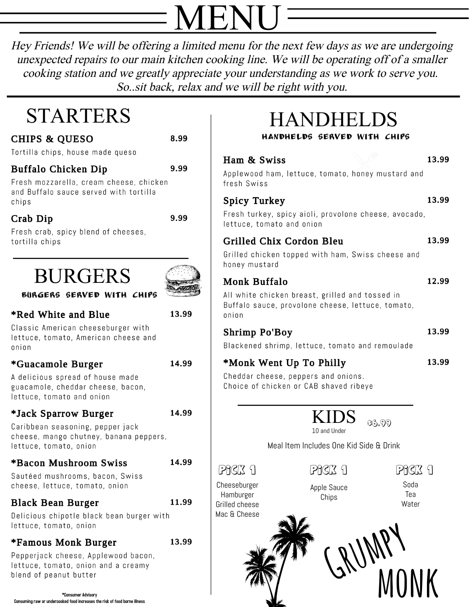# MENU

Hey Friends! We will be offering <sup>a</sup> limited menu for the next few days as we are undergoing unexpected repairs to our main kitchen cooking line. We will be operating off of <sup>a</sup> smaller cooking station and we greatly appreciate your understanding as we work to serve you. So..sit back, relax and we will be right with you.

## STARTERS

**CHIPS & QUESO** 

Tortilla chips, house made queso

### **Buffalo Chicken Dip**

Fresh mozzarella, cream cheese, chicken and Buffalo sauce served with tortilla chips

## Crab Dip

9.99

8.99

9.99

Fresh crab, spicy blend of cheeses, tortilla chips

## BURGERS



### \*Red White and Blue

13.99

14.99

14.99

Classic American cheeseburger with lettuce, tomato, American cheese and onion

## \*Guacamole Burger

A delicious spread of house made guacamole, cheddar cheese, bacon, lettuce, tomato and onion

## \*Jack Sparrow Burger

Caribbean seasoning, pepper jack cheese, mango chutney, banana peppers, lettuce, tomato, onion

#### \*Bacon Mushroom Swiss 14.99

Sautéed mushrooms, bacon, Swiss cheese, lettuce, tomato, onion

## **Black Bean Burger**

Delicious chipotle black bean burger with lettuce, tomato, onion

## \*Famous Monk Burger

13.99

11.99

Pepperjack cheese, Applewood bacon, lettuce, tomato, onion and a creamy blend of peanut butter

\*Consumer Advisory Consuming raw or undercooked food increases the risk of food borne illness

## HANDHELDS

handhelds Served with chips

## Ham & Swiss

13.99

Applewood ham, lettuce, tomato, honey mustard and fresh Swiss

## **Spicy Turkey**

13.99

Fresh turkey, spicy aioli, provolone cheese, avocado, lettuce, tomato and onion

## **Grilled Chix Cordon Bleu**

13.99

12.99

13.99

13.99

Grilled chicken topped with ham, Swiss cheese and honey mustard

#### **Monk Buffalo**

All white chicken breast, grilled and tossed in Buffalo sauce, provolone cheese, lettuce, tomato, onion

### **Shrimp Po'Boy**

Blackened shrimp, lettuce, tomato and remoulade

### \*Monk Went Up To Philly

Cheddar cheese, peppers and onions. Choice of chicken or CAB shaved ribeye

> KIDS 10 and Under \$6.99

Meal Item Includes One Kid Side & Drink

Cheeseburger Hamburger Grilled cheese

Apple Sauce Chips

Pick 1 Pick 1 Pick 1

Soda Tea Water



GRUMPY monk